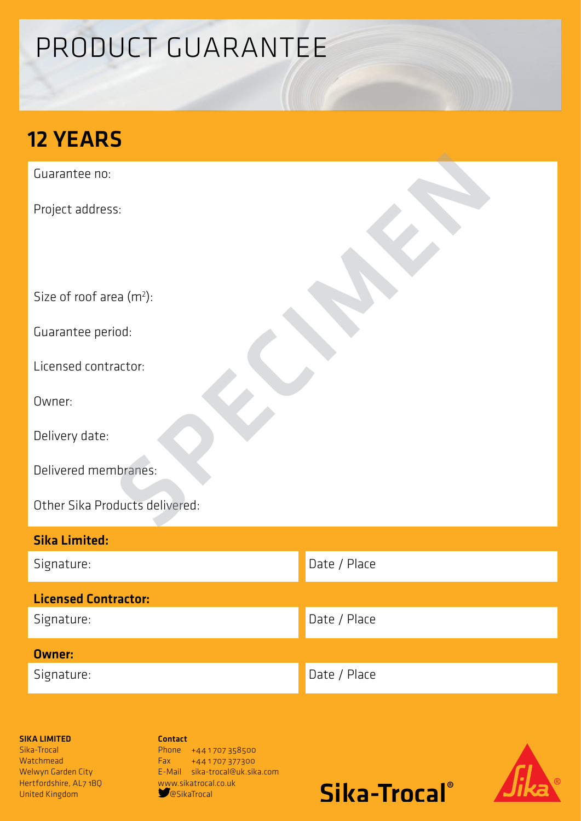# PRODUCT GUARANTEE

## 12 YEARS

Guarantee no:

Project address:

Size of roof area (m<sup>2</sup>):

Guarantee period:

Licensed contractor:

Owner:

Delivery date:

Delivered membranes:

Other Sika Products delivered: s:<br>Paa (m\*):<br>iod:<br>actor:<br>actor:<br>ducts delivered:<br>ducts delivered:

| <b>Sika Limited:</b>        |              |
|-----------------------------|--------------|
| Signature:                  | Date / Place |
| <b>Licensed Contractor:</b> |              |
| Signature:                  | Date / Place |
| <b>Owner:</b>               |              |
| Signature:                  | Date / Place |

### SIKA LIMITED

Sika-Trocal **Watchmead** Welwyn Garden City Hertfordshire, AL7 1BQ United Kingdom

Contact Phone +441707358500 Fax +44 1 707 377300 E-Mail sika-trocal@uk.sika.com www.sikatrocal.co.uk<br>
SesikaTrocal